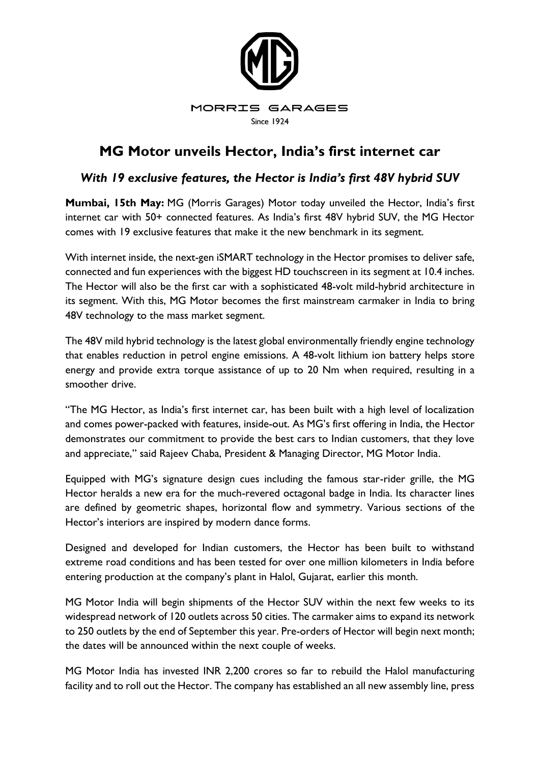

# **MG Motor unveils Hector, India's first internet car**

## *With 19 exclusive features, the Hector is India's first 48V hybrid SUV*

**Mumbai, 15th May:** MG (Morris Garages) Motor today unveiled the Hector, India's first internet car with 50+ connected features. As India's first 48V hybrid SUV, the MG Hector comes with 19 exclusive features that make it the new benchmark in its segment.

With internet inside, the next-gen iSMART technology in the Hector promises to deliver safe, connected and fun experiences with the biggest HD touchscreen in its segment at 10.4 inches. The Hector will also be the first car with a sophisticated 48-volt mild-hybrid architecture in its segment. With this, MG Motor becomes the first mainstream carmaker in India to bring 48V technology to the mass market segment.

The 48V mild hybrid technology is the latest global environmentally friendly engine technology that enables reduction in petrol engine emissions. A 48-volt lithium ion battery helps store energy and provide extra torque assistance of up to 20 Nm when required, resulting in a smoother drive.

"The MG Hector, as India's first internet car, has been built with a high level of localization and comes power-packed with features, inside-out. As MG's first offering in India, the Hector demonstrates our commitment to provide the best cars to Indian customers, that they love and appreciate," said Rajeev Chaba, President & Managing Director, MG Motor India.

Equipped with MG's signature design cues including the famous star-rider grille, the MG Hector heralds a new era for the much-revered octagonal badge in India. Its character lines are defined by geometric shapes, horizontal flow and symmetry. Various sections of the Hector's interiors are inspired by modern dance forms.

Designed and developed for Indian customers, the Hector has been built to withstand extreme road conditions and has been tested for over one million kilometers in India before entering production at the company's plant in Halol, Gujarat, earlier this month.

MG Motor India will begin shipments of the Hector SUV within the next few weeks to its widespread network of 120 outlets across 50 cities. The carmaker aims to expand its network to 250 outlets by the end of September this year. Pre-orders of Hector will begin next month; the dates will be announced within the next couple of weeks.

MG Motor India has invested INR 2,200 crores so far to rebuild the Halol manufacturing facility and to roll out the Hector. The company has established an all new assembly line, press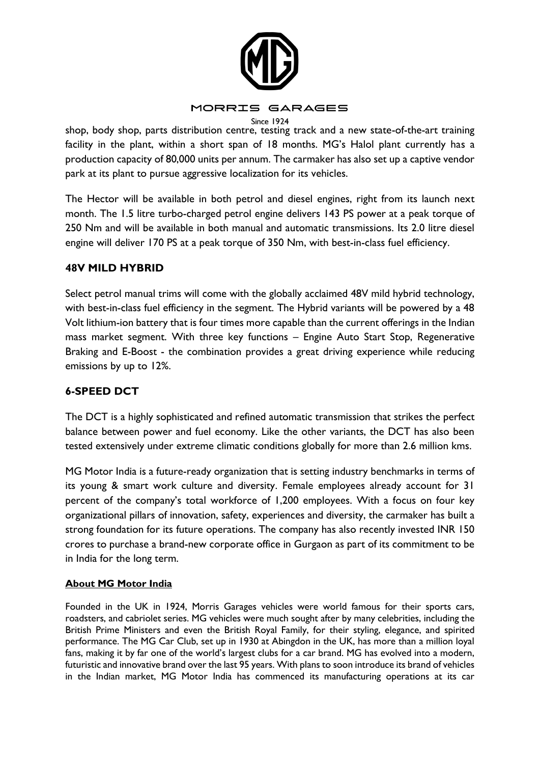

#### MORRIS GARAGES

**Since 1924** shop, body shop, parts distribution centre, testing track and a new state-of-the-art training facility in the plant, within a short span of 18 months. MG's Halol plant currently has a production capacity of 80,000 units per annum. The carmaker has also set up a captive vendor park at its plant to pursue aggressive localization for its vehicles.

The Hector will be available in both petrol and diesel engines, right from its launch next month. The 1.5 litre turbo-charged petrol engine delivers 143 PS power at a peak torque of 250 Nm and will be available in both manual and automatic transmissions. Its 2.0 litre diesel engine will deliver 170 PS at a peak torque of 350 Nm, with best-in-class fuel efficiency.

#### **48V MILD HYBRID**

Select petrol manual trims will come with the globally acclaimed 48V mild hybrid technology, with best-in-class fuel efficiency in the segment. The Hybrid variants will be powered by a 48 Volt lithium-ion battery that is four times more capable than the current offerings in the Indian mass market segment. With three key functions – Engine Auto Start Stop, Regenerative Braking and E-Boost - the combination provides a great driving experience while reducing emissions by up to 12%.

### **6-SPEED DCT**

The DCT is a highly sophisticated and refined automatic transmission that strikes the perfect balance between power and fuel economy. Like the other variants, the DCT has also been tested extensively under extreme climatic conditions globally for more than 2.6 million kms.

MG Motor India is a future-ready organization that is setting industry benchmarks in terms of its young & smart work culture and diversity. Female employees already account for 31 percent of the company's total workforce of 1,200 employees. With a focus on four key organizational pillars of innovation, safety, experiences and diversity, the carmaker has built a strong foundation for its future operations. The company has also recently invested INR 150 crores to purchase a brand-new corporate office in Gurgaon as part of its commitment to be in India for the long term.

#### **About MG Motor India**

Founded in the UK in 1924, Morris Garages vehicles were world famous for their sports cars, roadsters, and cabriolet series. MG vehicles were much sought after by many celebrities, including the British Prime Ministers and even the British Royal Family, for their styling, elegance, and spirited performance. The MG Car Club, set up in 1930 at Abingdon in the UK, has more than a million loyal fans, making it by far one of the world's largest clubs for a car brand. MG has evolved into a modern, futuristic and innovative brand over the last 95 years. With plans to soon introduce its brand of vehicles in the Indian market, MG Motor India has commenced its manufacturing operations at its car